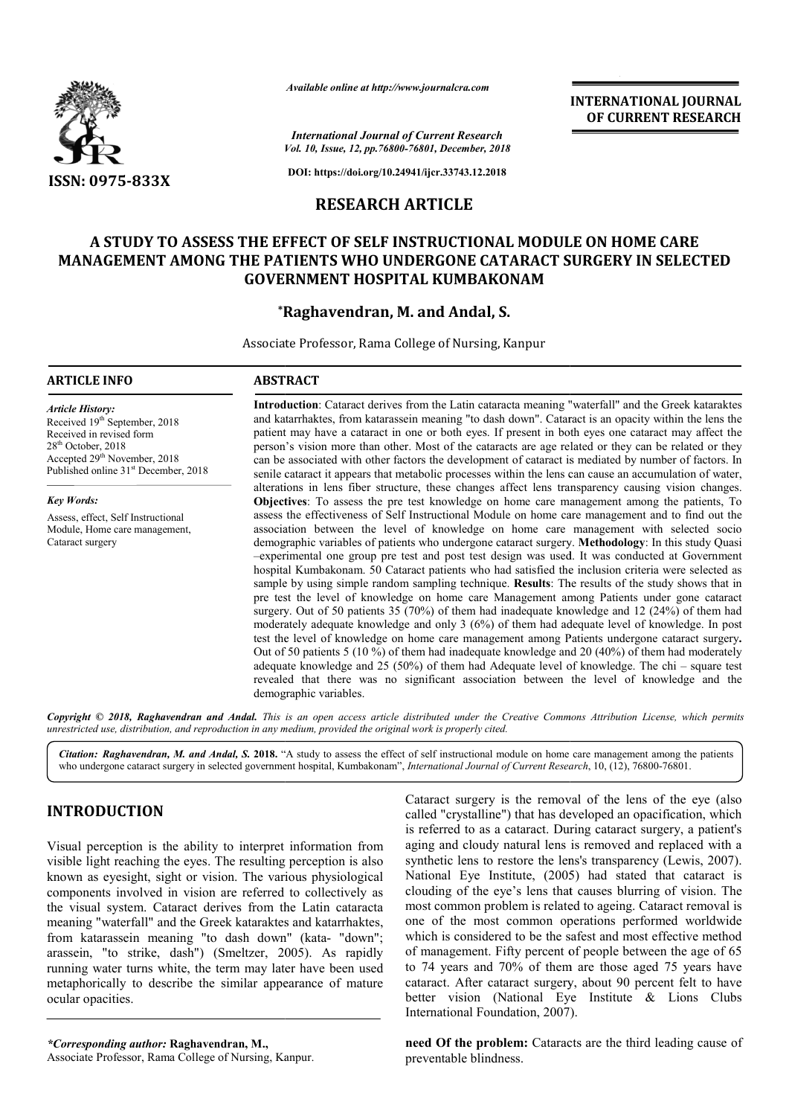

*Available online at http://www.journalcra.com*

**INTERNATIONAL JOURNAL OF CURRENT RESEARCH**

*Vol. 10, Issue, 12, pp.76800-76801, December, 2018 International Journal of Current Research*

**DOI: https://doi.org/10.24941/ijcr.33743.12.2018**

## **RESEARCH ARTICLE**

## A STUDY TO ASSESS THE EFFECT OF SELF INSTRUCTIONAL MODULE ON HOME CARE **MANAGEMENT AMONG THE PATIENTS WHO UNDERGONE CATARACT SURGERY IN PATIENTS WHO SELECTED GOVERNMENT HOSPITAL KUMBAKONAM**

## **\*Ragh Raghavendran, M. and Andal, S.**

Associate Professor, Rama College of Nursing, Kanpur

#### **ARTICLE INFO ABSTRACT**

*Article History:* Received 19<sup>th</sup> September, 2018 Received in revised form 28<sup>th</sup> October, 2018 Accepted 29<sup>th</sup> November, 2018 Published online 31<sup>st</sup> December, 2018

*Key Words:* Assess, effect, Self Instructional Module, Home care management, Cataract surgery

Introduction: Cataract derives from the Latin cataracta meaning "waterfall" and the Greek kataraktes and katarrhaktes katarrhaktes, from katarassein meaning "to dash down". Cataract is an opacity within the lens the patient may have a cataract in one or both eyes. If present in both eyes one cataract may affect the person's vision more than other. Most of the cataracts are age relate can be associated with other factors the development of cataract is mediated by number of factors. In senile cataract it appears that metabolic processes within the lens can cause an accumulation of water, alterations in lens fiber structure, these changes affect lens transparency causing vision changes. **Objectives** : To assess the pre test knowledge on home care management among the patients, To can be associated with other factors the development of cataract is mediated by number of factors. In senile cataract it appears that metabolic processes within the lens can cause an accumulation of water, alterations in l association between the level of knowledge on home care management with selected socio association between the level of knowledge on home care management with selected socio demographic variables of patients who undergone cataract surgery. **Methodology**: In this study Quasi -experimental one group pre test and post test design was used. It was conducted at Government hospital Kumbakonam. 50 Cataract patients who had satisfied the inclusion criteria were selected as sample by using simple random sampling technique. **Results**: The results of the study shows that in pre test the level of knowledge on home care Management among Patients under gone cataract surgery. Out of 50 patients 35 (70%) of them had inadequate knowledge and 12 (24%) of them had moderately adequate knowledge and only  $3(6%)$  of them had adequate level of knowledge. In post test the level of knowledge on home care management among Patients undergone cataract surgery. Out of 50 patients 5 (10 %) of them had inadequate knowledge and 20 (40%) of them had moderately Out of 50 patients 5 (10 %) of them had inadequate knowledge and 20 (40%) of them had moderately adequate knowledge and 25 (50%) of them had Adequate level of knowledge. The chi – square test revealed that there was no significant association between the level of knowledge and the demographic variables. and katarrhaktes, from katarassein meaning "to dash down". Cataract is an opacity within the lens the patient may have a cataract in one or both eyes. If present in both eyes one cataract may affect the person's vision mor -experimental one group pre test and post test design was used. It was conducted at Government<br>hospital Kumbakonam. 50 Cataract patients who had satisfied the inclusion criteria were selected as<br>sample by using simple rand

Copyright © 2018, Raghavendran and Andal. This is an open access article distributed under the Creative Commons Attribution License, which permits *unrestricted use, distribution, and reproduction in any medium, provided the original work is properly cited.*

Citation: Raghavendran, M. and Andal, S. 2018. "A study to assess the effect of self instructional module on home care management among the patients who undergone cataract surgery in selected government hospital, Kumbakona who undergone cataract surgery in selected government hospital hospital, Kumbakonam", *International Journal of Current Research*

## **INTRODUCTION**

Visual perception is the ability to interpret information from visible light reaching the eyes. The resulting perception is also known as eyesight, sight or vision. The various physiological known as eyesight, sight or vision. The various physiological components involved in vision are referred to collectively as the visual system. Cataract derives from the Latin cataracta meaning "waterfall" and the Greek kataraktes and katarrhaktes, from katarassein meaning "to dash down" ( (kata- "down"; arassein, "to strike, dash") (Smeltzer, 2005 , 2005). As rapidly running water turns white, the term may later have been used metaphorically to describe the similar appearance of mature ocular opacities.

*\*Corresponding author:* **Raghavendran, M.,** Associate Professor, Rama College of Nursing, Kanpur Kanpur.

Cataract surgery is the removal of the lens of the eye (also called "crystalline") that has developed an opacification, which is referred to as a cataract. During cataract surgery, a patient's aging and cloudy natural lens is removed and replaced with a called "crystalline") that has developed an opacification, which is referred to as a cataract. During cataract surgery, a patient's aging and cloudy natural lens is removed and replaced with a synthetic lens to restore the National Eye Institute, (2005) had stated that cataract is clouding of the eye's lens that causes blurring of vision. The most common problem is related to ageing. Cataract removal is one of the most common operations performed worldwide which is considered to be the safest and most effective method of management. Fifty percent of people between the age of 65 to 74 years and 70% of them are those aged 75 years have cataract. After cataract surgery, about 90 percent felt to have better vision (National Eye Institute & Lions Clubs International Foundation, 2007). International Foundation, 2007) clouding of the eye's lens that causes blurring of vision. The most common problem is related to ageing. Cataract removal is one of the most common operations performed worldwide ich is considered to be the safest and most effective method<br>management. Fifty percent of people between the age of 65<br>74 years and 70% of them are those aged 75 years have<br>aract. After cataract surgery, about 90 percent f

**need Of the problem:** Cataracts are the third leading cause of preventable blindness.